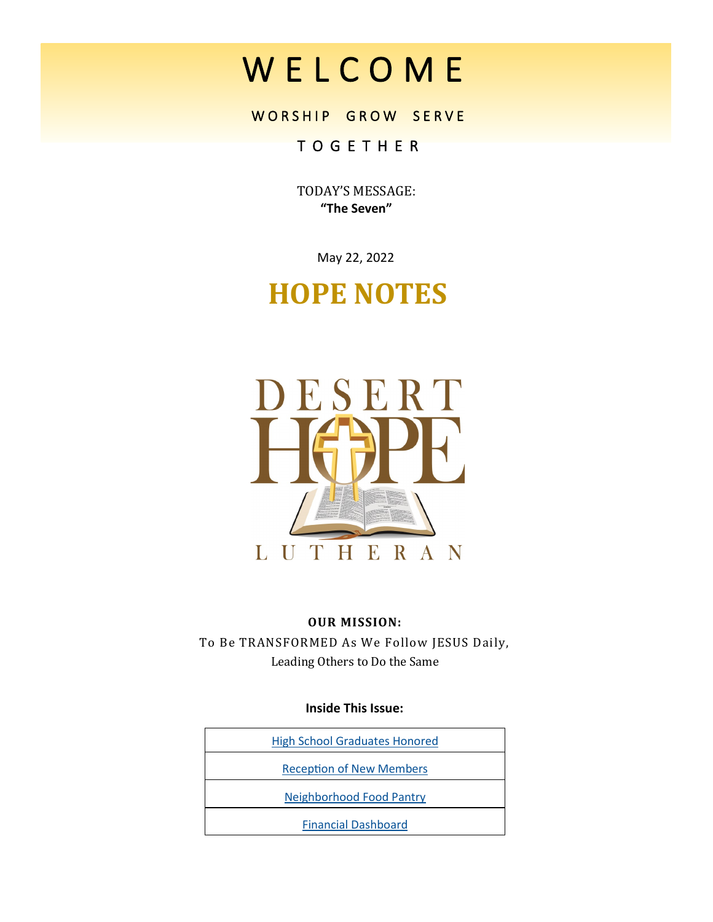# W E L C O M E

# WORSHIP GROW SERVE

# T O G E T H E R

TODAY'S MESSAGE: **"The Seven"**

May 22, 2022

# **HOPE NOTES**



# **OUR MISSION:**

To Be TRANSFORMED As We Follow JESUS Daily, Leading Others to Do the Same

# **Inside This Issue:**

| <b>High School Graduates Honored</b> |
|--------------------------------------|
| <b>Reception of New Members</b>      |
| <b>Neighborhood Food Pantry</b>      |
| <b>Financial Dashboard</b>           |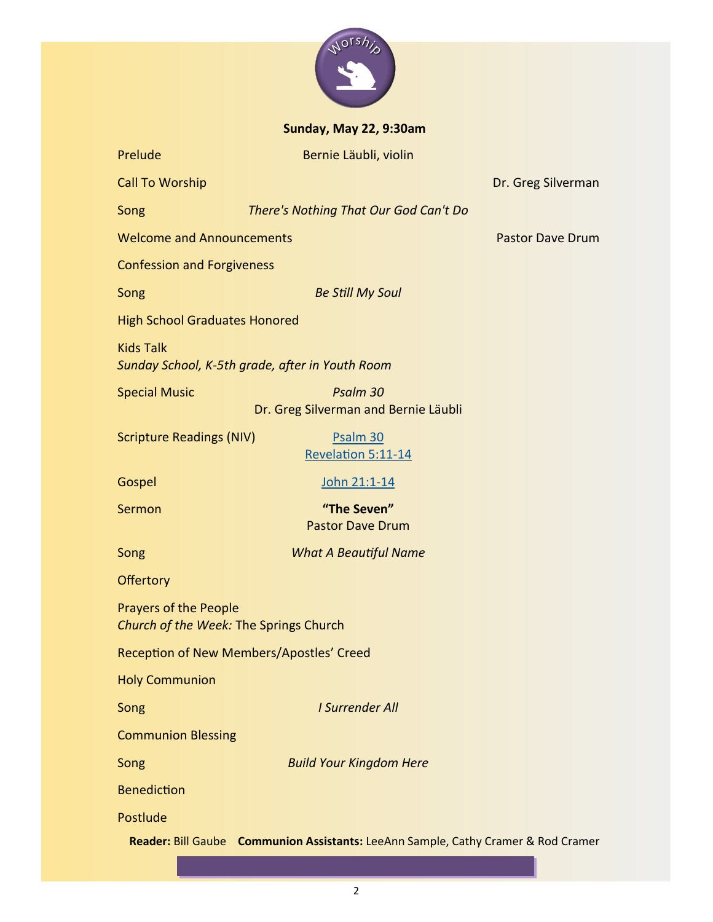

**Sunday, May 22, 9:30am**

| Prelude                                                                  | Bernie Läubli, violin                                                             |                    |  |  |
|--------------------------------------------------------------------------|-----------------------------------------------------------------------------------|--------------------|--|--|
| <b>Call To Worship</b>                                                   |                                                                                   | Dr. Greg Silverman |  |  |
| Song                                                                     | There's Nothing That Our God Can't Do                                             |                    |  |  |
| <b>Welcome and Announcements</b>                                         | <b>Pastor Dave Drum</b>                                                           |                    |  |  |
| <b>Confession and Forgiveness</b>                                        |                                                                                   |                    |  |  |
| Song                                                                     | <b>Be Still My Soul</b>                                                           |                    |  |  |
| <b>High School Graduates Honored</b>                                     |                                                                                   |                    |  |  |
| <b>Kids Talk</b>                                                         | Sunday School, K-5th grade, after in Youth Room                                   |                    |  |  |
| Psalm 30<br><b>Special Music</b><br>Dr. Greg Silverman and Bernie Läubli |                                                                                   |                    |  |  |
| <b>Scripture Readings (NIV)</b>                                          | Psalm 30<br>Revelation 5:11-14                                                    |                    |  |  |
| Gospel                                                                   | John 21:1-14                                                                      |                    |  |  |
| Sermon                                                                   | "The Seven"<br><b>Pastor Dave Drum</b>                                            |                    |  |  |
| Song                                                                     | <b>What A Beautiful Name</b>                                                      |                    |  |  |
| <b>Offertory</b>                                                         |                                                                                   |                    |  |  |
| <b>Prayers of the People</b><br>Church of the Week: The Springs Church   |                                                                                   |                    |  |  |
| Reception of New Members/Apostles' Creed                                 |                                                                                   |                    |  |  |
| <b>Holy Communion</b>                                                    |                                                                                   |                    |  |  |
| Song                                                                     | <b>I Surrender All</b>                                                            |                    |  |  |
| <b>Communion Blessing</b>                                                |                                                                                   |                    |  |  |
| Song                                                                     | <b>Build Your Kingdom Here</b>                                                    |                    |  |  |
| <b>Benediction</b>                                                       |                                                                                   |                    |  |  |
| Postlude                                                                 |                                                                                   |                    |  |  |
|                                                                          | Reader: Bill Gaube Communion Assistants: LeeAnn Sample, Cathy Cramer & Rod Cramer |                    |  |  |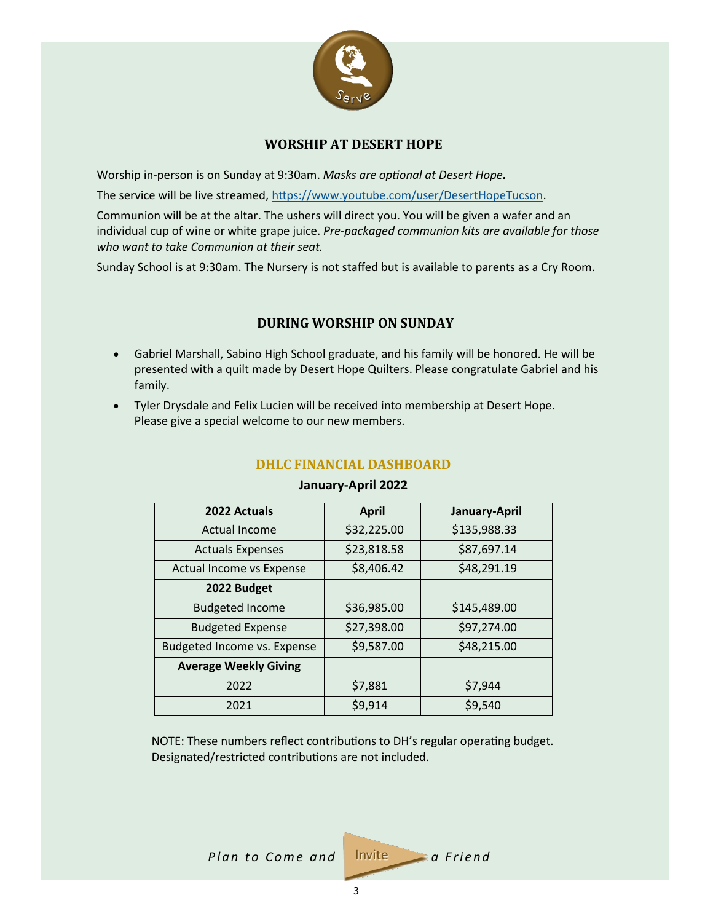

# **WORSHIP AT DESERT HOPE**

<span id="page-2-0"></span>Worship in-person is on Sunday at 9:30am. *Masks are optional at Desert Hope.*

The service will be live streamed, [https://www.youtube.com/user/DesertHopeTucson.](https://www.youtube.com/user/DesertHopeTucson)

Communion will be at the altar. The ushers will direct you. You will be given a wafer and an individual cup of wine or white grape juice. *Pre-packaged communion kits are available for those who want to take Communion at their seat.*

Sunday School is at 9:30am. The Nursery is not staffed but is available to parents as a Cry Room.

# **DURING WORSHIP ON SUNDAY**

- Gabriel Marshall, Sabino High School graduate, and his family will be honored. He will be presented with a quilt made by Desert Hope Quilters. Please congratulate Gabriel and his family.
- Tyler Drysdale and Felix Lucien will be received into membership at Desert Hope. Please give a special welcome to our new members.

| 2022 Actuals                 | <b>April</b> | January-April |
|------------------------------|--------------|---------------|
| Actual Income                | \$32,225.00  | \$135,988.33  |
| <b>Actuals Expenses</b>      | \$23,818.58  | \$87,697.14   |
| Actual Income vs Expense     | \$8,406.42   | \$48,291.19   |
| 2022 Budget                  |              |               |
| <b>Budgeted Income</b>       | \$36,985.00  | \$145,489.00  |
| <b>Budgeted Expense</b>      | \$27,398.00  | \$97,274.00   |
| Budgeted Income vs. Expense  | \$9,587.00   | \$48,215.00   |
| <b>Average Weekly Giving</b> |              |               |
| 2022                         | \$7,881      | \$7,944       |
| 2021                         | \$9,914      | \$9,540       |

# **DHLC FINANCIAL DASHBOARD**

#### **January-April 2022**

NOTE: These numbers reflect contributions to DH's regular operating budget. Designated/restricted contributions are not included.

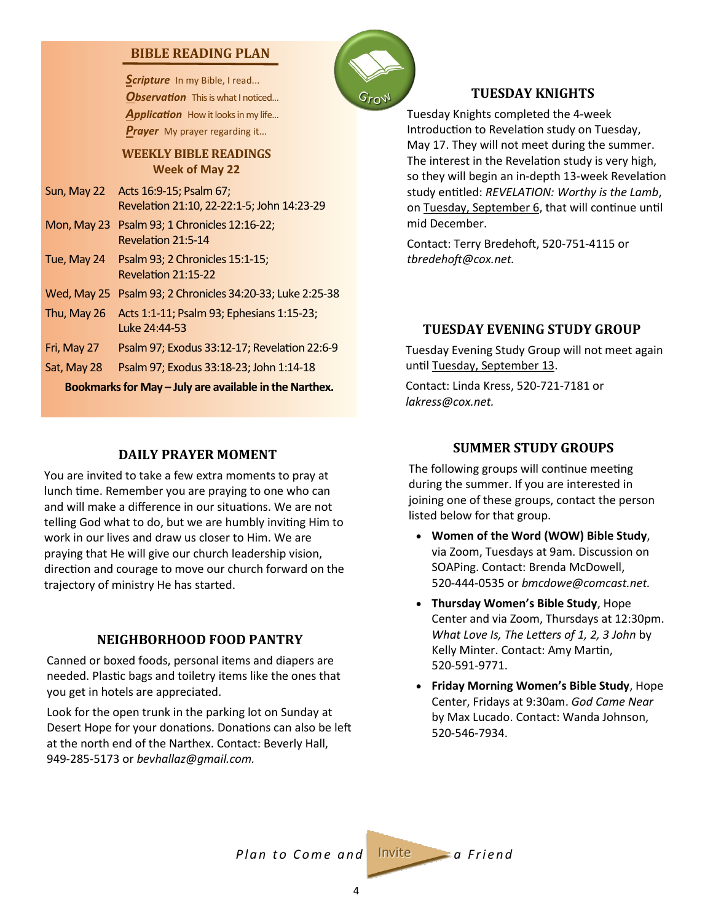# <span id="page-3-0"></span>**BIBLE READING PLAN**

Scripture In my Bible, I read... **Observation** This is what I noticed... Application How it looks in my life... *Prayer* My prayer regarding it...

#### **WEEKLY BIBLE READINGS Week of May 22**

- Sun, May 22 Acts 16:9-15; Psalm 67; Revelation 21:10, 22-22:1-5; John 14:23-29
- Mon, May 23 Psalm 93; 1 Chronicles 12:16-22; Revelation 21:5-14
- Tue, May 24 Psalm 93; 2 Chronicles 15:1-15; Revelation 21:15-22
- Wed, May 25 Psalm 93; 2 Chronicles 34:20-33; Luke 2:25-38
- Thu, May 26 Acts 1:1-11; Psalm 93; Ephesians 1:15-23; Luke 24:44-53
- Fri, May 27 Psalm 97; Exodus 33:12-17; Revelation 22:6-9
- Sat, May 28 Psalm 97; Exodus 33:18-23; John 1:14-18

**Bookmarks for May – July are available in the Narthex.**

# **DAILY PRAYER MOMENT**

You are invited to take a few extra moments to pray at lunch time. Remember you are praying to one who can and will make a difference in our situations. We are not telling God what to do, but we are humbly inviting Him to work in our lives and draw us closer to Him. We are praying that He will give our church leadership vision, direction and courage to move our church forward on the trajectory of ministry He has started.

# **NEIGHBORHOOD FOOD PANTRY**

Canned or boxed foods, personal items and diapers are needed. Plastic bags and toiletry items like the ones that you get in hotels are appreciated.

Look for the open trunk in the parking lot on Sunday at Desert Hope for your donations. Donations can also be left at the north end of the Narthex. Contact: Beverly Hall, 949-285-5173 or *bevhallaz@gmail.com.*



# **TUESDAY KNIGHTS**

Tuesday Knights completed the 4-week Introduction to Revelation study on Tuesday, May 17. They will not meet during the summer. The interest in the Revelation study is very high, so they will begin an in-depth 13-week Revelation study entitled: *REVELATION: Worthy is the Lamb*, on Tuesday, September 6, that will continue until mid December.

Contact: Terry Bredehoft, 520-751-4115 or *tbredehoft@cox.net.*

# **TUESDAY EVENING STUDY GROUP**

Tuesday Evening Study Group will not meet again until Tuesday, September 13.

Contact: Linda Kress, 520-721-7181 or *lakress@cox.net.*

# **SUMMER STUDY GROUPS**

The following groups will continue meeting during the summer. If you are interested in joining one of these groups, contact the person listed below for that group.

- **Women of the Word (WOW) Bible Study**, via Zoom, Tuesdays at 9am. Discussion on SOAPing. Contact: Brenda McDowell, 520-444-0535 or *bmcdowe@comcast.net.*
- **Thursday Women's Bible Study**, Hope Center and via Zoom, Thursdays at 12:30pm. *What Love Is, The Letters of 1, 2, 3 John* by Kelly Minter. Contact: Amy Martin, 520-591-9771.
- **Friday Morning Women's Bible Study**, Hope Center, Fridays at 9:30am. *God Came Near*  by Max Lucado. Contact: Wanda Johnson, 520-546-7934.

*Plan to Come and* Invite a Friend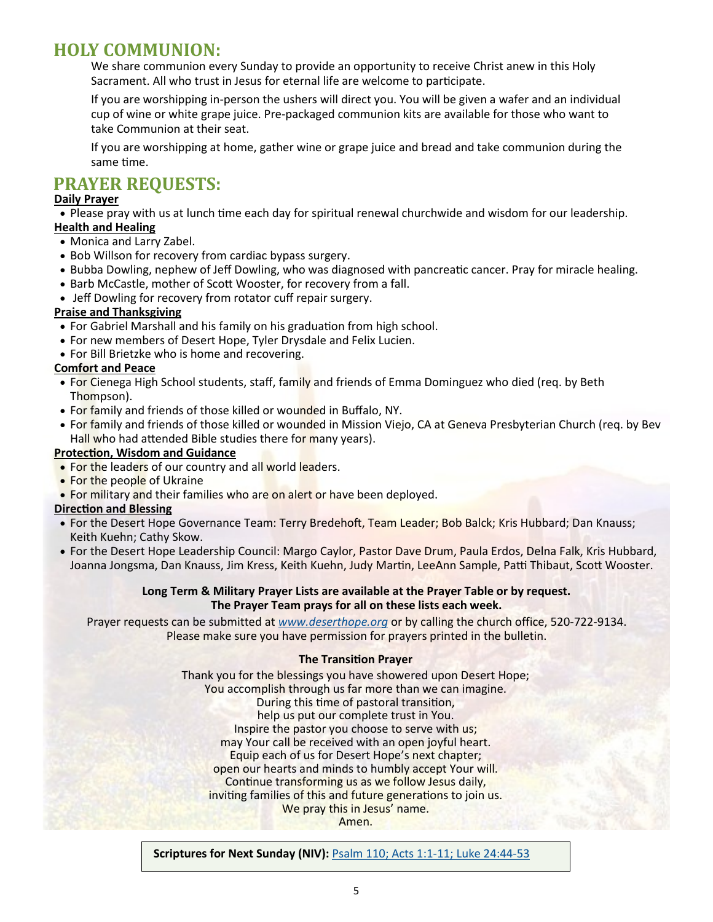# **HOLY COMMUNION:**

We share communion every Sunday to provide an opportunity to receive Christ anew in this Holy Sacrament. All who trust in Jesus for eternal life are welcome to participate.

If you are worshipping in-person the ushers will direct you. You will be given a wafer and an individual cup of wine or white grape juice. Pre-packaged communion kits are available for those who want to take Communion at their seat.

If you are worshipping at home, gather wine or grape juice and bread and take communion during the same time.

# **PRAYER REQUESTS:**

# **Daily Prayer**

• Please pray with us at lunch time each day for spiritual renewal churchwide and wisdom for our leadership. **Health and Healing**

- Monica and Larry Zabel.
- Bob Willson for recovery from cardiac bypass surgery.
- Bubba Dowling, nephew of Jeff Dowling, who was diagnosed with pancreatic cancer. Pray for miracle healing.
- Barb McCastle, mother of Scott Wooster, for recovery from a fall.
- Jeff Dowling for recovery from rotator cuff repair surgery.

# **Praise and Thanksgiving**

- For Gabriel Marshall and his family on his graduation from high school.
- For new members of Desert Hope, Tyler Drysdale and Felix Lucien.
- For Bill Brietzke who is home and recovering.

# **Comfort and Peace**

- For Cienega High School students, staff, family and friends of Emma Dominguez who died (req. by Beth Thompson).
- For family and friends of those killed or wounded in Buffalo, NY.
- For family and friends of those killed or wounded in Mission Viejo, CA at Geneva Presbyterian Church (req. by Bev Hall who had attended Bible studies there for many years).

# **Protection, Wisdom and Guidance**

- For the leaders of our country and all world leaders.
- For the people of Ukraine
- For military and their families who are on alert or have been deployed.

# **Direction and Blessing**

- For the Desert Hope Governance Team: Terry Bredehoft, Team Leader; Bob Balck; Kris Hubbard; Dan Knauss; Keith Kuehn; Cathy Skow.
- For the Desert Hope Leadership Council: Margo Caylor, Pastor Dave Drum, Paula Erdos, Delna Falk, Kris Hubbard, Joanna Jongsma, Dan Knauss, Jim Kress, Keith Kuehn, Judy Martin, LeeAnn Sample, Patti Thibaut, Scott Wooster.

#### **Long Term & Military Prayer Lists are available at the Prayer Table or by request. The Prayer Team prays for all on these lists each week.**

Prayer requests can be submitted at *[www.deserthope.org](http://www.deserthope.org)* or by calling the church office, 520-722-9134. Please make sure you have permission for prayers printed in the bulletin.

# **The Transition Prayer**

Thank you for the blessings you have showered upon Desert Hope; You accomplish through us far more than we can imagine. During this time of pastoral transition, help us put our complete trust in You. Inspire the pastor you choose to serve with us; may Your call be received with an open joyful heart. Equip each of us for Desert Hope's next chapter; open our hearts and minds to humbly accept Your will. Continue transforming us as we follow Jesus daily, inviting families of this and future generations to join us. We pray this in Jesus' name. Amen.

**Scriptures for Next Sunday (NIV):** [Psalm 110; Acts 1:1](https://www.biblegateway.com/passage/?search=Psalm+110%3B+Acts+1%3A1-11%3B+Luke+24%3A44-53&version=NIV)-11; Luke 24:44-53